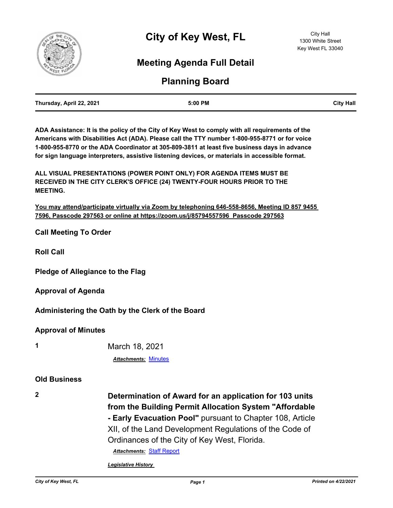

# **Meeting Agenda Full Detail**

# **Planning Board**

| Thursday, April 22, 2021 | 5:00 PM | <b>City Hall</b> |
|--------------------------|---------|------------------|
|                          |         |                  |

**ADA Assistance: It is the policy of the City of Key West to comply with all requirements of the Americans with Disabilities Act (ADA). Please call the TTY number 1-800-955-8771 or for voice 1-800-955-8770 or the ADA Coordinator at 305-809-3811 at least five business days in advance for sign language interpreters, assistive listening devices, or materials in accessible format.**

**ALL VISUAL PRESENTATIONS (POWER POINT ONLY) FOR AGENDA ITEMS MUST BE RECEIVED IN THE CITY CLERK'S OFFICE (24) TWENTY-FOUR HOURS PRIOR TO THE MEETING.**

**You may attend/participate virtually via Zoom by telephoning 646-558-8656, Meeting ID 857 9455 7596, Passcode 297563 or online at https://zoom.us/j/85794557596 Passcode 297563**

**Call Meeting To Order**

**Roll Call**

**Pledge of Allegiance to the Flag**

**Approval of Agenda**

**Administering the Oath by the Clerk of the Board**

**Approval of Minutes**

**1** March 18, 2021

*Attachments:* [Minutes](http://KeyWest.legistar.com/gateway.aspx?M=F&ID=a8f2be4b-be3b-4637-8c9e-7140462677fb.pdf)

### **Old Business**

**2 Determination of Award for an application for 103 units from the Building Permit Allocation System "Affordable - Early Evacuation Pool"** pursuant to Chapter 108, Article XII, of the Land Development Regulations of the Code of Ordinances of the City of Key West, Florida.

*Attachments:* [Staff Report](http://KeyWest.legistar.com/gateway.aspx?M=F&ID=f02019fb-7756-4b06-bcb9-2bef0e01561d.pdf)

*Legislative History*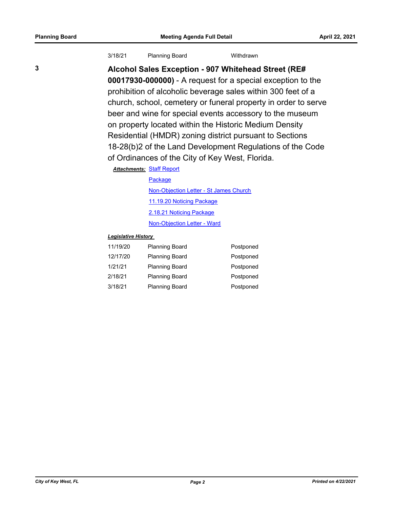| 3/18/21<br><b>Planning Board</b> | Withdrawn |
|----------------------------------|-----------|
|----------------------------------|-----------|

**3 Alcohol Sales Exception - 907 Whitehead Street (RE# 00017930-000000)** - A request for a special exception to the prohibition of alcoholic beverage sales within 300 feet of a church, school, cemetery or funeral property in order to serve beer and wine for special events accessory to the museum on property located within the Historic Medium Density Residential (HMDR) zoning district pursuant to Sections 18-28(b)2 of the Land Development Regulations of the Code of Ordinances of the City of Key West, Florida.

**Attachments: [Staff Report](http://KeyWest.legistar.com/gateway.aspx?M=F&ID=ad888d28-1439-4c83-9e10-0b919b8506ba.pdf)** 

#### [Package](http://KeyWest.legistar.com/gateway.aspx?M=F&ID=26a70e40-0709-46b9-aa37-1d9f070a5d6e.pdf)

[Non-Objection Letter - St James Church](http://KeyWest.legistar.com/gateway.aspx?M=F&ID=b87e760d-4cf5-4b90-b558-acece89e269e.pdf) [11.19.20 Noticing Package](http://KeyWest.legistar.com/gateway.aspx?M=F&ID=cdb8830b-38e5-486a-aeeb-732d9aa05513.pdf) [2.18.21 Noticing Package](http://KeyWest.legistar.com/gateway.aspx?M=F&ID=07a74bc3-397e-4bdd-bc68-7769f53ef376.pdf) [Non-Objection Letter - Ward](http://KeyWest.legistar.com/gateway.aspx?M=F&ID=863eace7-5e17-411e-af5d-a73ad64e3a43.pdf)

### *Legislative History*

| 11/19/20 | <b>Planning Board</b> | Postponed |
|----------|-----------------------|-----------|
| 12/17/20 | <b>Planning Board</b> | Postponed |
| 1/21/21  | <b>Planning Board</b> | Postponed |
| 2/18/21  | <b>Planning Board</b> | Postponed |
| 3/18/21  | <b>Planning Board</b> | Postponed |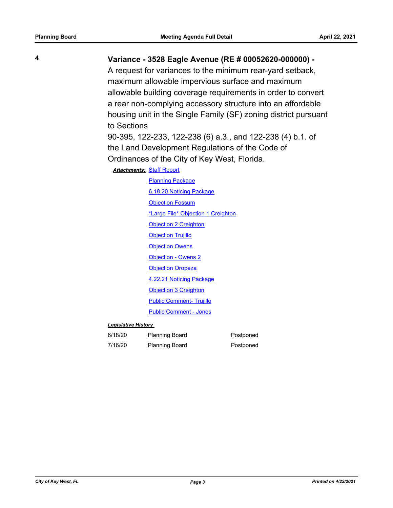# **4 Variance - 3528 Eagle Avenue (RE # 00052620-000000) -**

A request for variances to the minimum rear-yard setback, maximum allowable impervious surface and maximum allowable building coverage requirements in order to convert a rear non-complying accessory structure into an affordable housing unit in the Single Family (SF) zoning district pursuant to Sections

90-395, 122-233, 122-238 (6) a.3., and 122-238 (4) b.1. of the Land Development Regulations of the Code of Ordinances of the City of Key West, Florida.

#### **Attachments: [Staff Report](http://KeyWest.legistar.com/gateway.aspx?M=F&ID=086f1724-acfb-442a-8b7d-1645f506304d.pdf)**

[Planning Package](http://KeyWest.legistar.com/gateway.aspx?M=F&ID=a5c46272-7c5b-480e-b09f-b6dfcce16a07.pdf) [6.18.20 Noticing Package](http://KeyWest.legistar.com/gateway.aspx?M=F&ID=7d71d7c4-e8b6-4f22-8e08-3b0e0f1a7032.pdf) **[Objection Fossum](http://KeyWest.legistar.com/gateway.aspx?M=F&ID=f6ec9d70-2c5c-4ef9-af37-5532ddbff2ca.pdf)** [\\*Large File\\* Objection 1 Creighton](http://KeyWest.legistar.com/gateway.aspx?M=F&ID=94f79b3e-ca78-4744-9c03-57ce093281e3.pdf) [Objection 2 Creighton](http://KeyWest.legistar.com/gateway.aspx?M=F&ID=7cf25137-7f1a-42e2-9f5d-86219bdecaab.pdf) **[Objection Trujillo](http://KeyWest.legistar.com/gateway.aspx?M=F&ID=775f0800-9453-400d-9c4b-eddcf0f6e0bd.pdf) [Objection Owens](http://KeyWest.legistar.com/gateway.aspx?M=F&ID=dd456ebd-a17a-4857-976a-dbe781bee396.pdf)** [Objection - Owens 2](http://KeyWest.legistar.com/gateway.aspx?M=F&ID=82e86c34-db7e-490e-989f-2d5c18148a33.pdf) **[Objection Oropeza](http://KeyWest.legistar.com/gateway.aspx?M=F&ID=568d66c6-0b11-4236-b521-8fa98de9c395.pdf)** [4.22.21 Noticing Package](http://KeyWest.legistar.com/gateway.aspx?M=F&ID=28461789-ecc5-45cb-aab3-4ec83f0f7cbc.pdf) [Objection 3 Creighton](http://KeyWest.legistar.com/gateway.aspx?M=F&ID=1b002ca4-c970-4f19-a85b-76edbfdb0987.pdf) [Public Comment- Trujillo](http://KeyWest.legistar.com/gateway.aspx?M=F&ID=2243fc8a-2f9c-49c4-934e-b86b8a593f25.pdf) [Public Comment - Jones](http://KeyWest.legistar.com/gateway.aspx?M=F&ID=5728f846-8a09-46d9-a31f-9845e00f58b5.pdf)

#### *Legislative History*

| 6/18/20 | <b>Planning Board</b> | Postponed |
|---------|-----------------------|-----------|
| 7/16/20 | <b>Planning Board</b> | Postponed |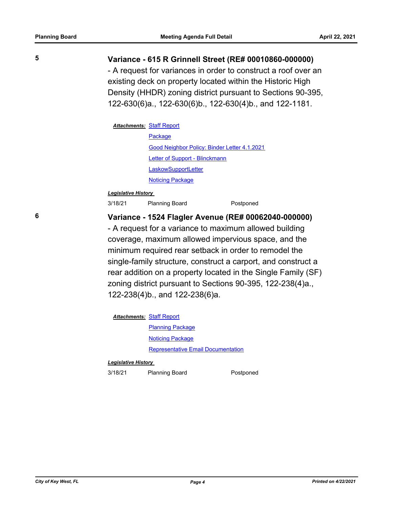### **5 Variance - 615 R Grinnell Street (RE# 00010860-000000)**

- A request for variances in order to construct a roof over an existing deck on property located within the Historic High Density (HHDR) zoning district pursuant to Sections 90-395, 122-630(6)a., 122-630(6)b., 122-630(4)b., and 122-1181.

### **Attachments: [Staff Report](http://KeyWest.legistar.com/gateway.aspx?M=F&ID=02f4d269-75a4-4e5c-8583-0dc553b40410.pdf)**

[Package](http://KeyWest.legistar.com/gateway.aspx?M=F&ID=48eedda9-8f15-42d5-9544-349c01f1ae85.pdf) [Good Neighbor Policy: Binder Letter 4.1.2021](http://KeyWest.legistar.com/gateway.aspx?M=F&ID=377b1c0e-2a8d-48c6-9267-eb10dbc6a534.pdf) [Letter of Support - Blinckmann](http://KeyWest.legistar.com/gateway.aspx?M=F&ID=740c8e7d-4081-48f3-921c-6808e5468bd5.pdf) **[LaskowSupportLetter](http://KeyWest.legistar.com/gateway.aspx?M=F&ID=70b9120d-42f6-4770-b642-b0287ed334dc.pdf) [Noticing Package](http://KeyWest.legistar.com/gateway.aspx?M=F&ID=0b51f54b-bd24-4808-b939-8b80d53610ea.pdf)** 

### *Legislative History*

3/18/21 Planning Board Postponed

### **6 Variance - 1524 Flagler Avenue (RE# 00062040-000000)**

- A request for a variance to maximum allowed building coverage, maximum allowed impervious space, and the minimum required rear setback in order to remodel the single-family structure, construct a carport, and construct a rear addition on a property located in the Single Family (SF) zoning district pursuant to Sections 90-395, 122-238(4)a., 122-238(4)b., and 122-238(6)a.

**Attachments: [Staff Report](http://KeyWest.legistar.com/gateway.aspx?M=F&ID=672d1a85-c808-4d85-ba94-2fcec7da4a4b.pdf)** 

[Planning Package](http://KeyWest.legistar.com/gateway.aspx?M=F&ID=2d253320-1b6d-4258-aaa6-588c01fe0809.pdf) [Noticing Package](http://KeyWest.legistar.com/gateway.aspx?M=F&ID=1f9a351f-de82-49de-ba26-4022008ae18e.pdf) [Representative Email Documentation](http://KeyWest.legistar.com/gateway.aspx?M=F&ID=b1b26edf-02a6-4e67-b98a-6d5e1e2ca528.pdf)

#### *Legislative History*

3/18/21 Planning Board Postponed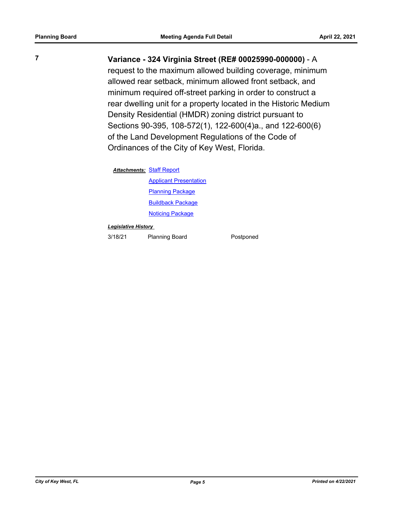# **7 Variance - 324 Virginia Street (RE# 00025990-000000)** - A

request to the maximum allowed building coverage, minimum allowed rear setback, minimum allowed front setback, and minimum required off-street parking in order to construct a rear dwelling unit for a property located in the Historic Medium Density Residential (HMDR) zoning district pursuant to Sections 90-395, 108-572(1), 122-600(4)a., and 122-600(6) of the Land Development Regulations of the Code of Ordinances of the City of Key West, Florida.

### **Attachments: [Staff Report](http://KeyWest.legistar.com/gateway.aspx?M=F&ID=92cad2e4-41ca-4e7b-9545-390866f30d7d.pdf)**

[Applicant Presentation](http://KeyWest.legistar.com/gateway.aspx?M=F&ID=6f063388-0f6a-481a-97c1-00aba019d2af.pdf) **[Planning Package](http://KeyWest.legistar.com/gateway.aspx?M=F&ID=29547e5a-33de-40ff-99e9-713ddbe6d8a1.pdf)** [Buildback Package](http://KeyWest.legistar.com/gateway.aspx?M=F&ID=c6193969-b642-40f9-8a52-6934e7a7c1e4.pdf) [Noticing Package](http://KeyWest.legistar.com/gateway.aspx?M=F&ID=bae1254b-4817-4501-986e-bed2cd9f236e.pdf)

#### *Legislative History*

3/18/21 Planning Board Postponed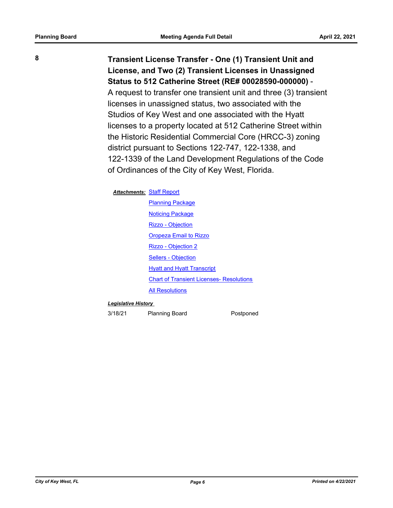**8 Transient License Transfer - One (1) Transient Unit and License, and Two (2) Transient Licenses in Unassigned Status to 512 Catherine Street (RE# 00028590-000000)** - A request to transfer one transient unit and three (3) transient licenses in unassigned status, two associated with the Studios of Key West and one associated with the Hyatt licenses to a property located at 512 Catherine Street within the Historic Residential Commercial Core (HRCC-3) zoning district pursuant to Sections 122-747, 122-1338, and 122-1339 of the Land Development Regulations of the Code of Ordinances of the City of Key West, Florida.

#### **Attachments: [Staff Report](http://KeyWest.legistar.com/gateway.aspx?M=F&ID=18af2693-7d29-4c09-84b4-b334d772e604.pdf)**

[Planning Package](http://KeyWest.legistar.com/gateway.aspx?M=F&ID=6367fddb-5b44-4337-8599-e81f609ecb75.pdf) **[Noticing Package](http://KeyWest.legistar.com/gateway.aspx?M=F&ID=455cb233-33be-4305-9f2a-e110e89c94c3.pdf)** [Rizzo - Objection](http://KeyWest.legistar.com/gateway.aspx?M=F&ID=a0b09461-d341-4f10-95aa-ec64f6451c45.pdf) [Oropeza Email to Rizzo](http://KeyWest.legistar.com/gateway.aspx?M=F&ID=f5b611ed-2682-43ec-9bb5-8655ef4a34da.pdf) [Rizzo - Objection 2](http://KeyWest.legistar.com/gateway.aspx?M=F&ID=4e975a0e-8e99-463a-aba4-f6e0356526ea.pdf) [Sellers - Objection](http://KeyWest.legistar.com/gateway.aspx?M=F&ID=9d47f77e-8146-4e50-afe0-397ea2118c02.pdf) **[Hyatt and Hyatt Transcript](http://KeyWest.legistar.com/gateway.aspx?M=F&ID=5413ab0d-ad9e-41da-b4ac-532e6f4b5bd0.pdf)** [Chart of Transient Licenses- Resolutions](http://KeyWest.legistar.com/gateway.aspx?M=F&ID=27a7c774-1032-47f5-a4e3-07934db22151.pdf) [All Resolutions](http://KeyWest.legistar.com/gateway.aspx?M=F&ID=67580f5c-6d42-424a-91de-29aa6bb3b46e.pdf)

#### *Legislative History*

3/18/21 Planning Board Postponed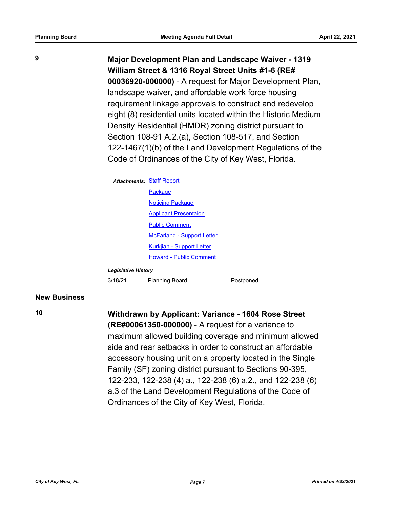**9 Major Development Plan and Landscape Waiver - 1319 William Street & 1316 Royal Street Units #1-6 (RE# 00036920-000000)** - A request for Major Development Plan, landscape waiver, and affordable work force housing requirement linkage approvals to construct and redevelop eight (8) residential units located within the Historic Medium Density Residential (HMDR) zoning district pursuant to Section 108-91 A.2.(a), Section 108-517, and Section 122-1467(1)(b) of the Land Development Regulations of the Code of Ordinances of the City of Key West, Florida.

#### **Attachments: [Staff Report](http://KeyWest.legistar.com/gateway.aspx?M=F&ID=b22dc5c1-ba4a-4f25-be33-5b09ca80782c.pdf)**

**[Package](http://KeyWest.legistar.com/gateway.aspx?M=F&ID=8efe6c77-2c5d-43f8-af87-a0e21022cbd5.pdf) [Noticing Package](http://KeyWest.legistar.com/gateway.aspx?M=F&ID=bce778f4-589c-4704-8e69-56f074c28622.pdf)** [Applicant Presentaion](http://KeyWest.legistar.com/gateway.aspx?M=F&ID=ea8883be-bbe2-4335-a528-29ac58551d32.pdf) [Public Comment](http://KeyWest.legistar.com/gateway.aspx?M=F&ID=663f77ae-3755-4ad1-bd59-df0db856b2aa.pdf) [McFarland - Support Letter](http://KeyWest.legistar.com/gateway.aspx?M=F&ID=1482fe1e-e9f4-4988-bb95-dd77fc735976.pdf) [Kurkjian - Support Letter](http://KeyWest.legistar.com/gateway.aspx?M=F&ID=acb73a79-7191-484f-8902-d7434cbd373e.pdf) [Howard - Public Comment](http://KeyWest.legistar.com/gateway.aspx?M=F&ID=faaf2ea3-a0b0-455a-905a-05d01959b9f9.pdf)

#### *Legislative History*

3/18/21 Planning Board Postponed

### **New Business**

# **10 Withdrawn by Applicant: Variance - 1604 Rose Street**

**(RE#00061350-000000)** - A request for a variance to maximum allowed building coverage and minimum allowed side and rear setbacks in order to construct an affordable accessory housing unit on a property located in the Single Family (SF) zoning district pursuant to Sections 90-395, 122-233, 122-238 (4) a., 122-238 (6) a.2., and 122-238 (6) a.3 of the Land Development Regulations of the Code of Ordinances of the City of Key West, Florida.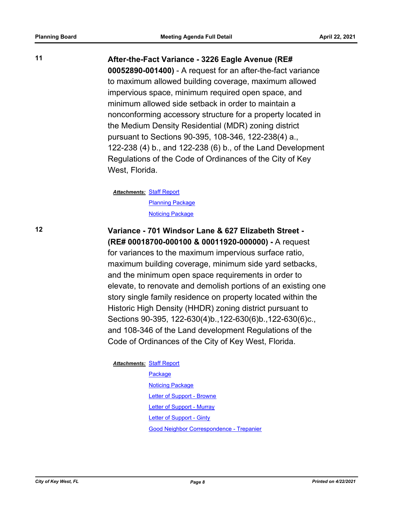### **11 After-the-Fact Variance - 3226 Eagle Avenue (RE#**

**00052890-001400)** - A request for an after-the-fact variance to maximum allowed building coverage, maximum allowed impervious space, minimum required open space, and minimum allowed side setback in order to maintain a nonconforming accessory structure for a property located in the Medium Density Residential (MDR) zoning district pursuant to Sections 90-395, 108-346, 122-238(4) a., 122-238 (4) b., and 122-238 (6) b., of the Land Development Regulations of the Code of Ordinances of the City of Key West, Florida.

**Attachments: [Staff Report](http://KeyWest.legistar.com/gateway.aspx?M=F&ID=df51b579-701f-45ec-9e06-46e93d88b5fd.pdf)** [Planning Package](http://KeyWest.legistar.com/gateway.aspx?M=F&ID=8671969e-997d-448a-9fda-f816b87d7ddd.pdf) **[Noticing Package](http://KeyWest.legistar.com/gateway.aspx?M=F&ID=89d2f773-77d4-46d8-ad60-dde84b864274.pdf)** 

# **12 Variance - 701 Windsor Lane & 627 Elizabeth Street - (RE# 00018700-000100 & 00011920-000000) -** A request

for variances to the maximum impervious surface ratio, maximum building coverage, minimum side yard setbacks, and the minimum open space requirements in order to elevate, to renovate and demolish portions of an existing one story single family residence on property located within the Historic High Density (HHDR) zoning district pursuant to Sections 90-395, 122-630(4)b.,122-630(6)b.,122-630(6)c., and 108-346 of the Land development Regulations of the Code of Ordinances of the City of Key West, Florida.

### **Attachments: [Staff Report](http://KeyWest.legistar.com/gateway.aspx?M=F&ID=5c430add-c4ff-4e9d-aa65-5f12abeb589e.pdf)**

[Package](http://KeyWest.legistar.com/gateway.aspx?M=F&ID=4ad8373b-105f-4d5c-8092-1316b92e844e.pdf) [Noticing Package](http://KeyWest.legistar.com/gateway.aspx?M=F&ID=6ef0bf48-7a17-4084-acf6-8bc012a52395.pdf) [Letter of Support - Browne](http://KeyWest.legistar.com/gateway.aspx?M=F&ID=2539a870-c43c-42e3-a66d-152823ff95dc.pdf) [Letter of Support - Murray](http://KeyWest.legistar.com/gateway.aspx?M=F&ID=ef033e56-f19d-4554-9df0-59e95a2619b8.pdf) [Letter of Support - Ginty](http://KeyWest.legistar.com/gateway.aspx?M=F&ID=9aa39801-a2d4-4d03-9c45-c31ae8b01f0e.pdf) [Good Neighbor Correspondence - Trepanier](http://KeyWest.legistar.com/gateway.aspx?M=F&ID=275d703c-5096-4fee-a955-5d5aa4f28fb6.pdf)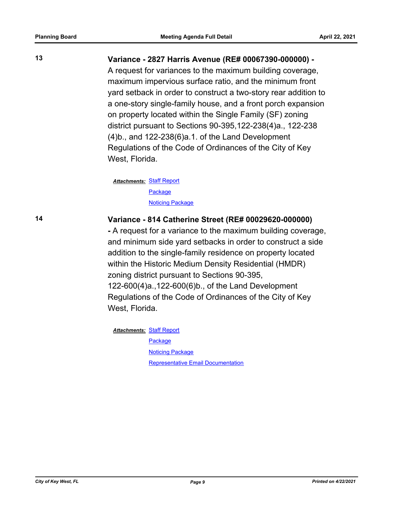## **13 Variance - 2827 Harris Avenue (RE# 00067390-000000) -**

A request for variances to the maximum building coverage, maximum impervious surface ratio, and the minimum front yard setback in order to construct a two-story rear addition to a one-story single-family house, and a front porch expansion on property located within the Single Family (SF) zoning district pursuant to Sections 90-395,122-238(4)a., 122-238 (4)b., and 122-238(6)a.1. of the Land Development Regulations of the Code of Ordinances of the City of Key West, Florida.

**Attachments: [Staff Report](http://KeyWest.legistar.com/gateway.aspx?M=F&ID=3f5e5839-ea60-4b3f-a502-5e14d81a9260.pdf) [Package](http://KeyWest.legistar.com/gateway.aspx?M=F&ID=ccdf0200-32c5-4e00-b8a3-82b50e4506a0.pdf) [Noticing Package](http://KeyWest.legistar.com/gateway.aspx?M=F&ID=a8d888b9-6081-41d1-9b68-43d5b9d93f7f.pdf)** 

## **14 Variance - 814 Catherine Street (RE# 00029620-000000)**

**-** A request for a variance to the maximum building coverage, and minimum side yard setbacks in order to construct a side addition to the single-family residence on property located within the Historic Medium Density Residential (HMDR) zoning district pursuant to Sections 90-395, 122-600(4)a.,122-600(6)b., of the Land Development Regulations of the Code of Ordinances of the City of Key West, Florida.

**Attachments: [Staff Report](http://KeyWest.legistar.com/gateway.aspx?M=F&ID=a00a32c3-db5d-4b78-800c-06de9fccaaae.pdf)** 

[Package](http://KeyWest.legistar.com/gateway.aspx?M=F&ID=cf60a3de-f1e0-49b4-a1f0-fda6ddd25fa4.pdf) [Noticing Package](http://KeyWest.legistar.com/gateway.aspx?M=F&ID=d2e9bfa9-62df-4f96-974d-42895dd56c95.pdf) [Representative Email Documentation](http://KeyWest.legistar.com/gateway.aspx?M=F&ID=f1c79eaa-7b22-4a86-b158-f64d2b27b50f.pdf)